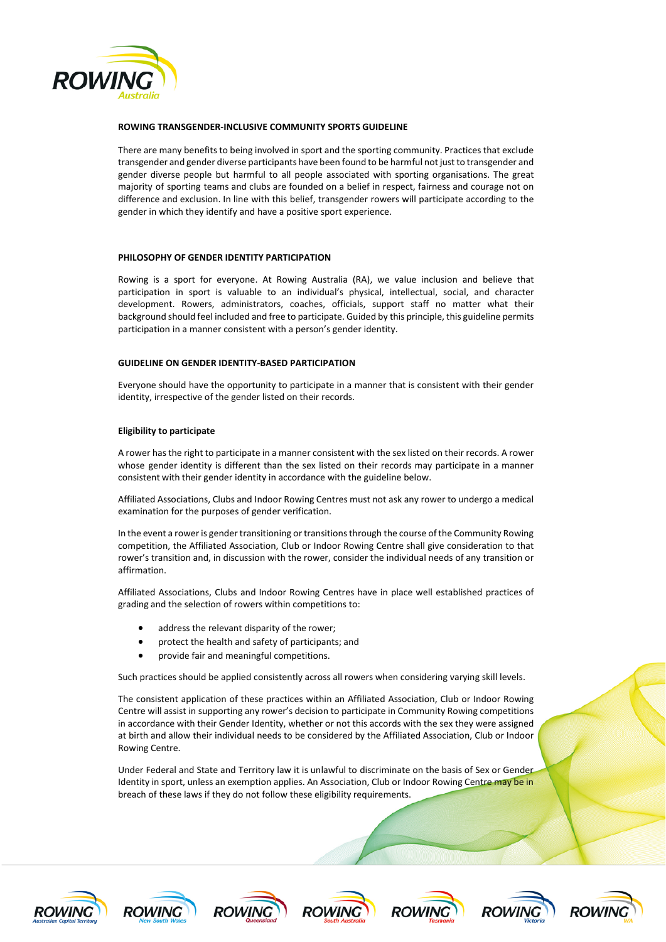

### **ROWING TRANSGENDER-INCLUSIVE COMMUNITY SPORTS GUIDELINE**

There are many benefits to being involved in sport and the sporting community. Practices that exclude transgender and gender diverse participants have been found to be harmful notjust to transgender and gender diverse people but harmful to all people associated with sporting organisations. The great majority of sporting teams and clubs are founded on a belief in respect, fairness and courage not on difference and exclusion. In line with this belief, transgender rowers will participate according to the gender in which they identify and have a positive sport experience.

# **PHILOSOPHY OF GENDER IDENTITY PARTICIPATION**

Rowing is a sport for everyone. At Rowing Australia (RA), we value inclusion and believe that participation in sport is valuable to an individual's physical, intellectual, social, and character development. Rowers, administrators, coaches, officials, support staff no matter what their background should feel included and free to participate. Guided by this principle, this guideline permits participation in a manner consistent with a person's gender identity.

# **GUIDELINE ON GENDER IDENTITY-BASED PARTICIPATION**

Everyone should have the opportunity to participate in a manner that is consistent with their gender identity, irrespective of the gender listed on their records.

### **Eligibility to participate**

A rower has the right to participate in a manner consistent with the sex listed on their records. A rower whose gender identity is different than the sex listed on their records may participate in a manner consistent with their gender identity in accordance with the guideline below.

Affiliated Associations, Clubs and Indoor Rowing Centres must not ask any rower to undergo a medical examination for the purposes of gender verification.

In the event a rower is gender transitioning or transitions through the course of the Community Rowing competition, the Affiliated Association, Club or Indoor Rowing Centre shall give consideration to that rower's transition and, in discussion with the rower, consider the individual needs of any transition or affirmation.

Affiliated Associations, Clubs and Indoor Rowing Centres have in place well established practices of grading and the selection of rowers within competitions to:

- address the relevant disparity of the rower;
- protect the health and safety of participants; and
- provide fair and meaningful competitions.

Such practices should be applied consistently across all rowers when considering varying skill levels.

The consistent application of these practices within an Affiliated Association, Club or Indoor Rowing Centre will assist in supporting any rower's decision to participate in Community Rowing competitions in accordance with their Gender Identity, whether or not this accords with the sex they were assigned at birth and allow their individual needs to be considered by the Affiliated Association, Club or Indoor Rowing Centre.

Under Federal and State and Territory law it is unlawful to discriminate on the basis of Sex or Gender Identity in sport, unless an exemption applies. An Association, Club or Indoor Rowing Centre may be in breach of these laws if they do not follow these eligibility requirements.













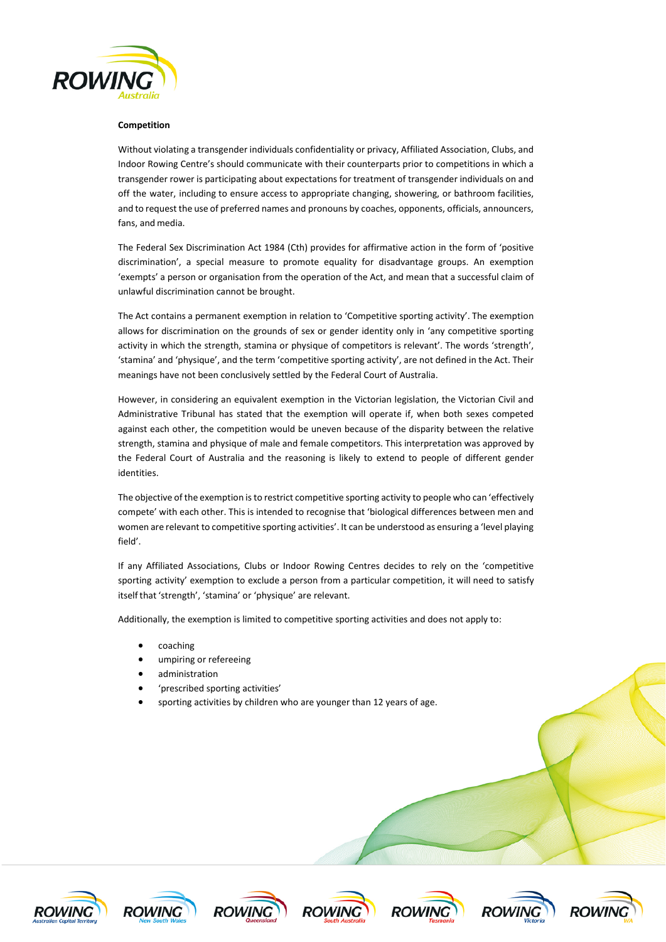

## **Competition**

Without violating a transgender individuals confidentiality or privacy, Affiliated Association, Clubs, and Indoor Rowing Centre's should communicate with their counterparts prior to competitions in which a transgender rower is participating about expectations for treatment of transgender individuals on and off the water, including to ensure access to appropriate changing, showering, or bathroom facilities, and to request the use of preferred names and pronouns by coaches, opponents, officials, announcers, fans, and media.

The Federal Sex Discrimination Act 1984 (Cth) provides for affirmative action in the form of 'positive discrimination', a special measure to promote equality for disadvantage groups. An exemption 'exempts' a person or organisation from the operation of the Act, and mean that a successful claim of unlawful discrimination cannot be brought.

The Act contains a permanent exemption in relation to 'Competitive sporting activity'. The exemption allows for discrimination on the grounds of sex or gender identity only in 'any competitive sporting activity in which the strength, stamina or physique of competitors is relevant'. The words 'strength', 'stamina' and 'physique', and the term 'competitive sporting activity', are not defined in the Act. Their meanings have not been conclusively settled by the Federal Court of Australia.

However, in considering an equivalent exemption in the Victorian legislation, the Victorian Civil and Administrative Tribunal has stated that the exemption will operate if, when both sexes competed against each other, the competition would be uneven because of the disparity between the relative strength, stamina and physique of male and female competitors. This interpretation was approved by the Federal Court of Australia and the reasoning is likely to extend to people of different gender identities.

The objective of the exemption is to restrict competitive sporting activity to people who can 'effectively compete' with each other. This is intended to recognise that 'biological differences between men and women are relevant to competitive sporting activities'. It can be understood as ensuring a 'level playing field'.

If any Affiliated Associations, Clubs or Indoor Rowing Centres decides to rely on the 'competitive sporting activity' exemption to exclude a person from a particular competition, it will need to satisfy itself that 'strength', 'stamina' or 'physique' are relevant.

Additionally, the exemption is limited to competitive sporting activities and does not apply to:

- coaching
- umpiring or refereeing
- administration
- 'prescribed sporting activities'
- sporting activities by children who are younger than 12 years of age.













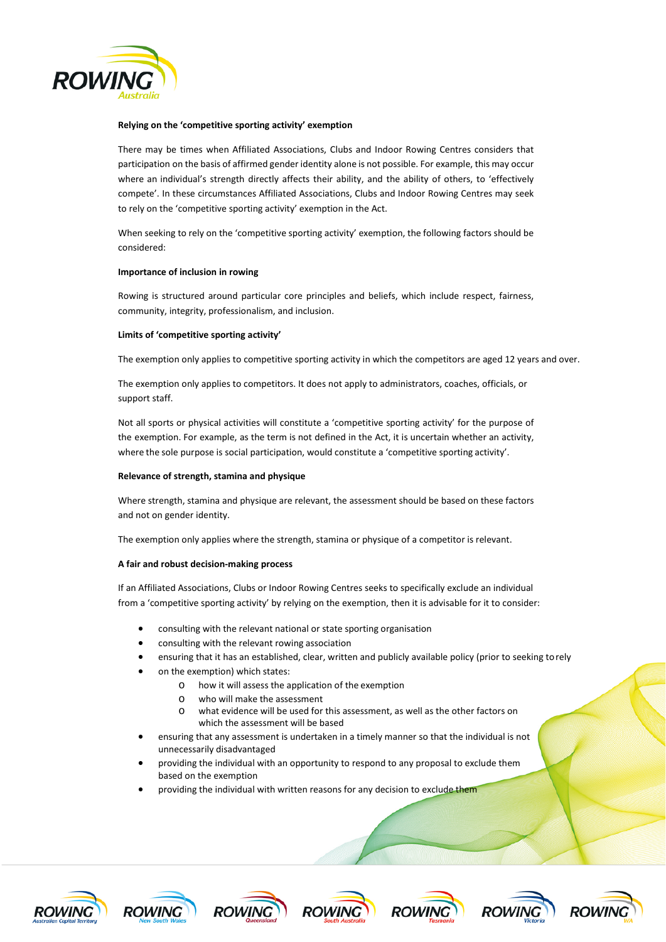

## **Relying on the 'competitive sporting activity' exemption**

There may be times when Affiliated Associations, Clubs and Indoor Rowing Centres considers that participation on the basis of affirmed gender identity alone is not possible. For example, this may occur where an individual's strength directly affects their ability, and the ability of others, to 'effectively compete'. In these circumstances Affiliated Associations, Clubs and Indoor Rowing Centres may seek to rely on the 'competitive sporting activity' exemption in the Act.

When seeking to rely on the 'competitive sporting activity' exemption, the following factors should be considered:

### **Importance of inclusion in rowing**

Rowing is structured around particular core principles and beliefs, which include respect, fairness, community, integrity, professionalism, and inclusion.

### **Limits of 'competitive sporting activity'**

The exemption only applies to competitive sporting activity in which the competitors are aged 12 years and over.

The exemption only applies to competitors. It does not apply to administrators, coaches, officials, or support staff.

Not all sports or physical activities will constitute a 'competitive sporting activity' for the purpose of the exemption. For example, as the term is not defined in the Act, it is uncertain whether an activity, where the sole purpose is social participation, would constitute a 'competitive sporting activity'.

#### **Relevance of strength, stamina and physique**

Where strength, stamina and physique are relevant, the assessment should be based on these factors and not on gender identity.

The exemption only applies where the strength, stamina or physique of a competitor is relevant.

#### **A fair and robust decision-making process**

If an Affiliated Associations, Clubs or Indoor Rowing Centres seeks to specifically exclude an individual from a 'competitive sporting activity' by relying on the exemption, then it is advisable for it to consider:

- consulting with the relevant national or state sporting organisation
- consulting with the relevant rowing association
- ensuring that it has an established, clear, written and publicly available policy (prior to seeking torely
- on the exemption) which states:
	- o how it will assess the application of the exemption
	- o who will make the assessment
	- o what evidence will be used for this assessment, as well as the other factors on which the assessment will be based
- ensuring that any assessment is undertaken in a timely manner so that the individual is not unnecessarily disadvantaged
- providing the individual with an opportunity to respond to any proposal to exclude them based on the exemption
- providing the individual with written reasons for any decision to exclude them













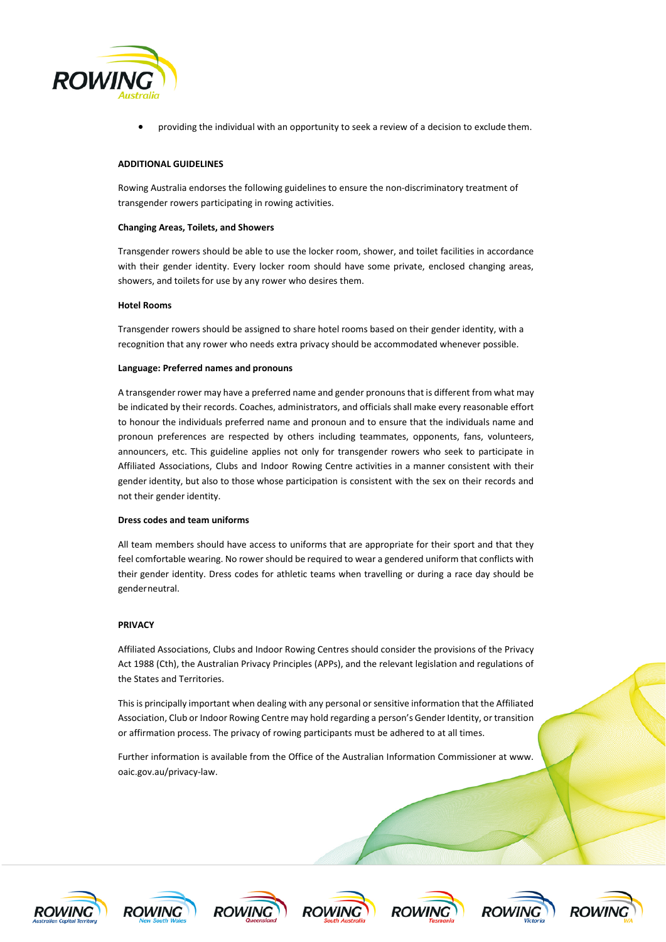

• providing the individual with an opportunity to seek a review of a decision to exclude them.

# **ADDITIONAL GUIDELINES**

Rowing Australia endorses the following guidelines to ensure the non-discriminatory treatment of transgender rowers participating in rowing activities.

#### **Changing Areas, Toilets, and Showers**

Transgender rowers should be able to use the locker room, shower, and toilet facilities in accordance with their gender identity. Every locker room should have some private, enclosed changing areas, showers, and toilets for use by any rower who desires them.

#### **Hotel Rooms**

Transgender rowers should be assigned to share hotel rooms based on their gender identity, with a recognition that any rower who needs extra privacy should be accommodated whenever possible.

#### **Language: Preferred names and pronouns**

A transgender rower may have a preferred name and gender pronouns that is different from what may be indicated by their records. Coaches, administrators, and officials shall make every reasonable effort to honour the individuals preferred name and pronoun and to ensure that the individuals name and pronoun preferences are respected by others including teammates, opponents, fans, volunteers, announcers, etc. This guideline applies not only for transgender rowers who seek to participate in Affiliated Associations, Clubs and Indoor Rowing Centre activities in a manner consistent with their gender identity, but also to those whose participation is consistent with the sex on their records and not their gender identity.

#### **Dress codes and team uniforms**

All team members should have access to uniforms that are appropriate for their sport and that they feel comfortable wearing. No rower should be required to wear a gendered uniform that conflicts with their gender identity. Dress codes for athletic teams when travelling or during a race day should be genderneutral.

#### **PRIVACY**

Affiliated Associations, Clubs and Indoor Rowing Centres should consider the provisions of the Privacy Act 1988 (Cth), the Australian Privacy Principles (APPs), and the relevant legislation and regulations of the States and Territories.

This is principally important when dealing with any personal or sensitive information that the Affiliated Association, Club or Indoor Rowing Centre may hold regarding a person's Gender Identity, or transition or affirmation process. The privacy of rowing participants must be adhered to at all times.

Further information is available from the Office of the Australian Information Commissioner a[t www.](http://www/) oaic.gov.au/privacy-law.













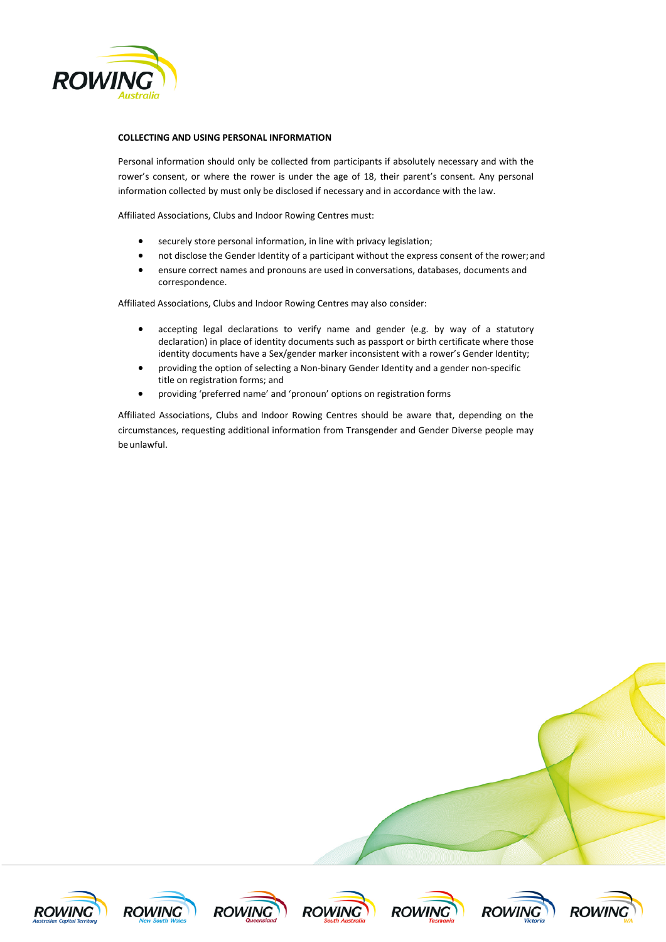

# **COLLECTING AND USING PERSONAL INFORMATION**

Personal information should only be collected from participants if absolutely necessary and with the rower's consent, or where the rower is under the age of 18, their parent's consent. Any personal information collected by must only be disclosed if necessary and in accordance with the law.

Affiliated Associations, Clubs and Indoor Rowing Centres must:

- securely store personal information, in line with privacy legislation;
- not disclose the Gender Identity of a participant without the express consent of the rower; and
- ensure correct names and pronouns are used in conversations, databases, documents and correspondence.

Affiliated Associations, Clubs and Indoor Rowing Centres may also consider:

- accepting legal declarations to verify name and gender (e.g. by way of a statutory declaration) in place of identity documents such as passport or birth certificate where those identity documents have a Sex/gender marker inconsistent with a rower's Gender Identity;
- providing the option of selecting a Non-binary Gender Identity and a gender non-specific title on registration forms; and
- providing 'preferred name' and 'pronoun' options on registration forms

Affiliated Associations, Clubs and Indoor Rowing Centres should be aware that, depending on the circumstances, requesting additional information from Transgender and Gender Diverse people may be unlawful.













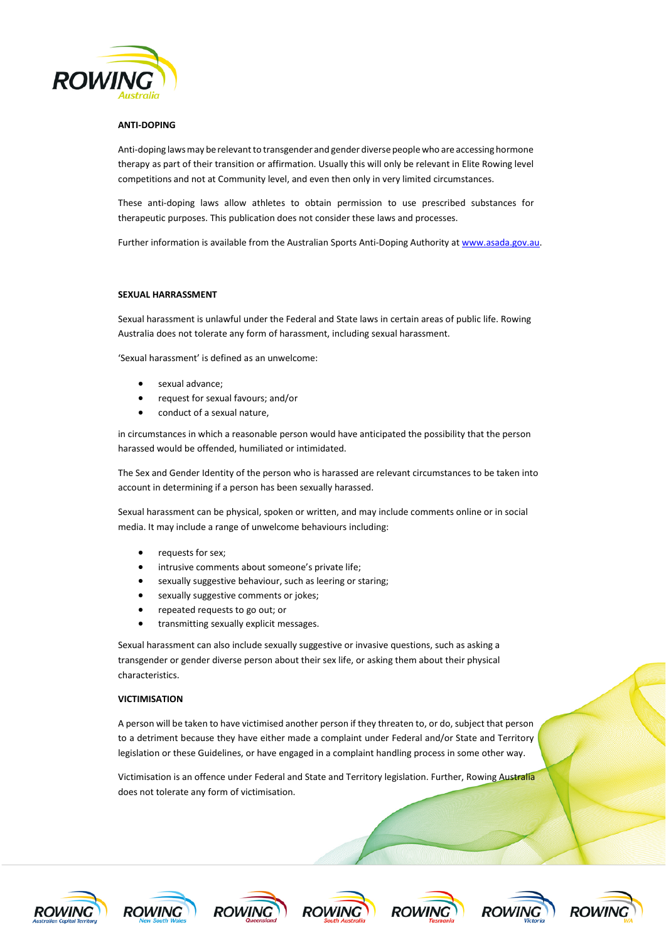

# **ANTI-DOPING**

Anti-doping laws may be relevant to transgender and gender diverse people who are accessing hormone therapy as part of their transition or affirmation. Usually this will only be relevant in Elite Rowing level competitions and not at Community level, and even then only in very limited circumstances.

These anti-doping laws allow athletes to obtain permission to use prescribed substances for therapeutic purposes. This publication does not consider these laws and processes.

Further information is available from the Australian Sports Anti-Doping Authority a[t www.asada.gov.au.](http://www.asada.gov.au/)

### **SEXUAL HARRASSMENT**

Sexual harassment is unlawful under the Federal and State laws in certain areas of public life. Rowing Australia does not tolerate any form of harassment, including sexual harassment.

'Sexual harassment' is defined as an unwelcome:

- sexual advance:
- request for sexual favours; and/or
- conduct of a sexual nature,

in circumstances in which a reasonable person would have anticipated the possibility that the person harassed would be offended, humiliated or intimidated.

The Sex and Gender Identity of the person who is harassed are relevant circumstances to be taken into account in determining if a person has been sexually harassed.

Sexual harassment can be physical, spoken or written, and may include comments online or in social media. It may include a range of unwelcome behaviours including:

- requests for sex;
- intrusive comments about someone's private life;
- sexually suggestive behaviour, such as leering or staring;
- sexually suggestive comments or jokes;
- repeated requests to go out; or
- transmitting sexually explicit messages.

Sexual harassment can also include sexually suggestive or invasive questions, such as asking a transgender or gender diverse person about their sex life, or asking them about their physical characteristics.

#### **VICTIMISATION**

A person will be taken to have victimised another person if they threaten to, or do, subject that person to a detriment because they have either made a complaint under Federal and/or State and Territory legislation or these Guidelines, or have engaged in a complaint handling process in some other way.

Victimisation is an offence under Federal and State and Territory legislation. Further, Rowing Australia does not tolerate any form of victimisation.













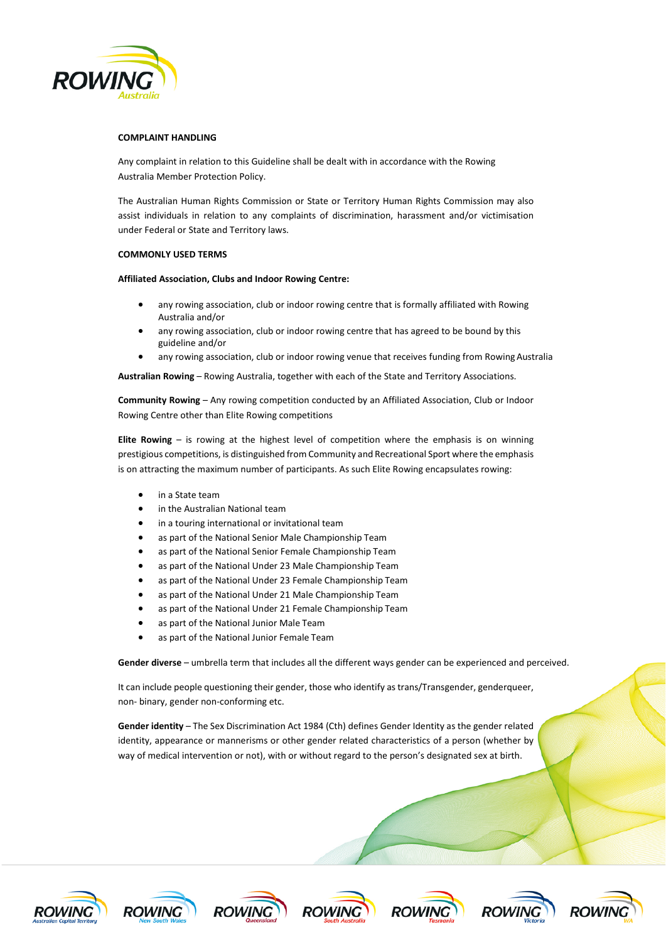

# **COMPLAINT HANDLING**

Any complaint in relation to this Guideline shall be dealt with in accordance with the Rowing Australia Member Protection Policy.

The Australian Human Rights Commission or State or Territory Human Rights Commission may also assist individuals in relation to any complaints of discrimination, harassment and/or victimisation under Federal or State and Territory laws.

### **COMMONLY USED TERMS**

**Affiliated Association, Clubs and Indoor Rowing Centre:**

- any rowing association, club or indoor rowing centre that is formally affiliated with Rowing Australia and/or
- any rowing association, club or indoor rowing centre that has agreed to be bound by this guideline and/or
- any rowing association, club or indoor rowing venue that receives funding from Rowing Australia

**Australian Rowing** – Rowing Australia, together with each of the State and Territory Associations.

**Community Rowing** – Any rowing competition conducted by an Affiliated Association, Club or Indoor Rowing Centre other than Elite Rowing competitions

**Elite Rowing** – is rowing at the highest level of competition where the emphasis is on winning prestigious competitions, is distinguished from Community and Recreational Sport where the emphasis is on attracting the maximum number of participants. As such Elite Rowing encapsulates rowing:

- in a State team
- in the Australian National team
- in a touring international or invitational team
- as part of the National Senior Male Championship Team
- as part of the National Senior Female Championship Team
- as part of the National Under 23 Male Championship Team
- as part of the National Under 23 Female Championship Team
- as part of the National Under 21 Male Championship Team
- as part of the National Under 21 Female Championship Team
- as part of the National Junior Male Team
- as part of the National Junior Female Team

Gender diverse - umbrella term that includes all the different ways gender can be experienced and perceived.

It can include people questioning their gender, those who identify as trans/Transgender, genderqueer, non- binary, gender non-conforming etc.

**Gender identity** – The Sex Discrimination Act 1984 (Cth) defines Gender Identity as the gender related identity, appearance or mannerisms or other gender related characteristics of a person (whether by way of medical intervention or not), with or without regard to the person's designated sex at birth.